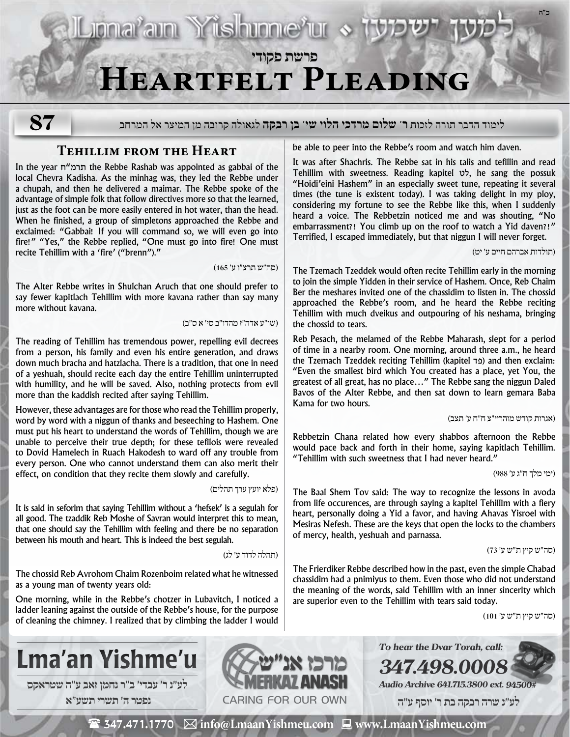# **פרשת פקודי Heartfelt Pleading**

**87**

# לימוד הדבר תורה לזכות **ר' שלום מרדכי הלוי שי' בן רבקה** לגאולה קרובה מן המיצר אל המרחב

### **Tehillim from the Heart**

In the year ח"תרמ the Rebbe Rashab was appointed as gabbai of the local Chevra Kadisha. As the minhag was, they led the Rebbe under a chupah, and then he delivered a maimar. The Rebbe spoke of the advantage of simple folk that follow directives more so that the learned, just as the foot can be more easily entered in hot water, than the head. When he finished, a group of simpletons approached the Rebbe and exclaimed: "Gabbai! If you will command so, we will even go into fire!" "Yes," the Rebbe replied, "One must go into fire! One must recite Tehillim with a 'fire' ("brenn")."

)סה״ש תרצ״ו ע׳ 165(

The Alter Rebbe writes in Shulchan Aruch that one should prefer to say fewer kapitlach Tehillim with more kavana rather than say many more without kavana.

)שו״ע אדה״ז מהדו״ב סי׳ א ס״ב(

Lional'ain Yüshinne'ur «

The reading of Tehillim has tremendous power, repelling evil decrees from a person, his family and even his entire generation, and draws down much bracha and hatzlacha. There is a tradition, that one in need of a yeshuah, should recite each day the entire Tehillim uninterrupted with humility, and he will be saved. Also, nothing protects from evil more than the kaddish recited after saying Tehillim.

However, these advantages are for those who read the Tehillim properly, word by word with a niggun of thanks and beseeching to Hashem. One must put his heart to understand the words of Tehillim, though we are unable to perceive their true depth; for these tefilois were revealed to Dovid Hamelech in Ruach Hakodesh to ward off any trouble from every person. One who cannot understand them can also merit their effect, on condition that they recite them slowly and carefully.

)פלא יועץ ערך תהלים(

It is said in seforim that saying Tehillim without a 'hefsek' is a segulah for all good. The tzaddik Reb Moshe of Savran would interpret this to mean, that one should say the Tehillim with feeling and there be no separation between his mouth and heart. This is indeed the best segulah.

)תהלה לדוד ע׳ לג(

The chossid Reb Avrohom Chaim Rozenboim related what he witnessed as a young man of twenty years old:

One morning, while in the Rebbe's chotzer in Lubavitch, I noticed a ladder leaning against the outside of the Rebbe's house, for the purpose of cleaning the chimney. I realized that by climbing the ladder I would be able to peer into the Rebbe's room and watch him daven.

It was after Shachris. The Rebbe sat in his talis and tefillin and read Tehillim with sweetness. Reading kapitel לט, he sang the possuk "Hoidi'eini Hashem" in an especially sweet tune, repeating it several times (the tune is existent today). I was taking delight in my ploy, considering my fortune to see the Rebbe like this, when I suddenly heard a voice. The Rebbetzin noticed me and was shouting, "No embarrassment?! You climb up on the roof to watch a Yid daven?!" Terrified, I escaped immediately, but that niggun I will never forget.

)תולדות אברהם חיים ע׳ יט(

**ב"ה**

The Tzemach Tzeddek would often recite Tehillim early in the morning to join the simple Yidden in their service of Hashem. Once, Reb Chaim Ber the meshares invited one of the chassidim to listen in. The chossid approached the Rebbe's room, and he heard the Rebbe reciting Tehillim with much dveikus and outpouring of his neshama, bringing the chossid to tears.

Reb Pesach, the melamed of the Rebbe Maharash, slept for a period of time in a nearby room. One morning, around three a.m., he heard the Tzemach Tzeddek reciting Tehillim (kapitel פד) and then exclaim: "Even the smallest bird which You created has a place, yet You, the greatest of all great, has no place…" The Rebbe sang the niggun Daled Bavos of the Alter Rebbe, and then sat down to learn gemara Baba Kama for two hours.

)אגרות קודש מוהריי״צ ח״ח ע׳ תצב(

Rebbetzin Chana related how every shabbos afternoon the Rebbe would pace back and forth in their home, saying kapitlach Tehillim. "Tehillim with such sweetness that I had never heard."

)ימי מלך ח״ג ע׳ 988(

The Baal Shem Tov said: The way to recognize the lessons in avoda from life occurences, are through saying a kapitel Tehillim with a fiery heart, personally doing a Yid a favor, and having Ahavas Yisroel with Mesiras Nefesh. These are the keys that open the locks to the chambers of mercy, health, yeshuah and parnassa.

)סה״ש קיץ ת״ש ע׳ 73(

The Frierdiker Rebbe described how in the past, even the simple Chabad chassidim had a pnimiyus to them. Even those who did not understand the meaning of the words, said Tehillim with an inner sincerity which are superior even to the Tehillim with tears said today.

)סה״ש קיץ ת״ש ע׳ 101(



 **לע"נ ר׳ עבדי׳ ב״ר נחמן זאב ע"ה שטראקס נפטר ה׳ תשרי תשע**"**א**



**To hear the Dvar Torah, call: 347.498.0008 Audio Archive 641.715.3800 ext. 94500#**

 **לע"נ שרה רבקה בת ר׳ יוסף ע"ה**